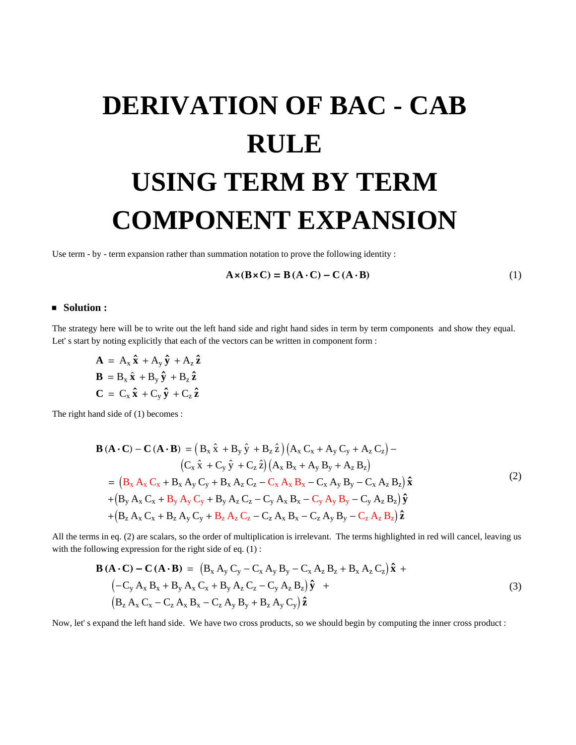## **DERIVATION OF BAC - CAB RULE USING TERM BY TERM COMPONENT EXPANSION**

Use term - by - term expansion rather than summation notation to prove the following identity :

$$
\mathbf{A} \times (\mathbf{B} \times \mathbf{C}) = \mathbf{B} (\mathbf{A} \cdot \mathbf{C}) - \mathbf{C} (\mathbf{A} \cdot \mathbf{B})
$$
 (1)

## Solution:

The strategy here will be to write out the left hand side and right hand sides in term by term components and show they equal. Let's start by noting explicitly that each of the vectors can be written in component form :

 $\mathbf{A} = A_{x} \hat{\mathbf{x}} + A_{y} \hat{\mathbf{y}} + A_{z} \hat{\mathbf{z}}$  $\mathbf{B} = B_x \hat{\mathbf{x}} + B_y \hat{\mathbf{y}} + B_z \hat{\mathbf{z}}$  $\mathbf{C} = \mathbf{C}_{\mathbf{x}} \, \mathbf{\hat{x}} + \mathbf{C}_{\mathbf{y}} \, \mathbf{\hat{y}} + \mathbf{C}_{\mathbf{z}} \, \mathbf{\hat{z}}$ 

The right hand side of (1) becomes :

$$
\mathbf{B} (\mathbf{A} \cdot \mathbf{C}) - \mathbf{C} (\mathbf{A} \cdot \mathbf{B}) = (B_x \hat{x} + B_y \hat{y} + B_z \hat{z}) (A_x C_x + A_y C_y + A_z C_z) -
$$
\n
$$
(C_x \hat{x} + C_y \hat{y} + C_z \hat{z}) (A_x B_x + A_y B_y + A_z B_z)
$$
\n
$$
= (B_x A_x C_x + B_x A_y C_y + B_x A_z C_z - C_x A_x B_x - C_x A_y B_y - C_x A_z B_z) \hat{x}
$$
\n
$$
+ (B_y A_x C_x + B_y A_y C_y + B_y A_z C_z - C_y A_x B_x - C_y A_y B_y - C_y A_z B_z) \hat{y}
$$
\n
$$
+ (B_z A_x C_x + B_z A_y C_y + B_z A_z C_z - C_z A_x B_x - C_z A_y B_y - C_z A_z B_z) \hat{z}
$$
\n(2)

All the terms in eq. (2) are scalars, so the order of multiplication is irrelevant. The terms highlighted in red will cancel, leaving us with the following expression for the right side of eq.  $(1)$ :

$$
\mathbf{B}(\mathbf{A} \cdot \mathbf{C}) - \mathbf{C}(\mathbf{A} \cdot \mathbf{B}) = (B_x A_y C_y - C_x A_y B_y - C_x A_z B_z + B_x A_z C_z) \hat{\mathbf{x}} + (-C_y A_x B_x + B_y A_x C_x + B_y A_z C_z - C_y A_z B_z) \hat{\mathbf{y}} + (B_z A_x C_x - C_z A_x B_x - C_z A_y B_y + B_z A_y C_y) \hat{\mathbf{z}}
$$
\n(3)

Now, let's expand the left hand side. We have two cross products, so we should begin by computing the inner cross product :